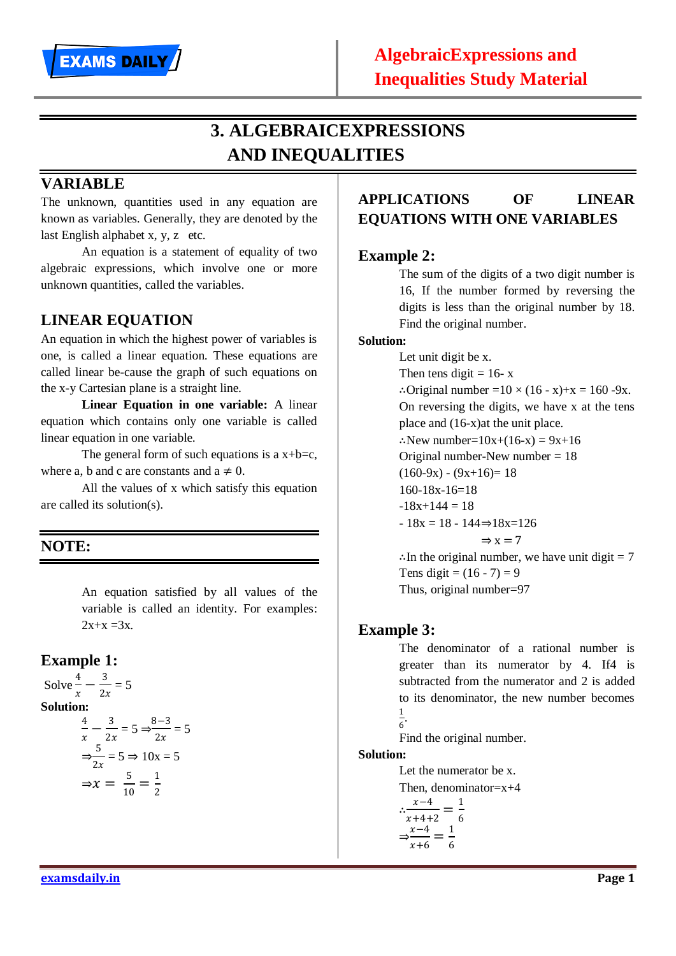

# **3. ALGEBRAICEXPRESSIONS AND INEQUALITIES**

## **VARIABLE**

The unknown, quantities used in any equation are known as variables. Generally, they are denoted by the last English alphabet x, y, z etc.

An equation is a statement of equality of two algebraic expressions, which involve one or more unknown quantities, called the variables.

## **LINEAR EQUATION**

An equation in which the highest power of variables is one, is called a linear equation. These equations are called linear be-cause the graph of such equations on the x-y Cartesian plane is a straight line.

**Linear Equation in one variable:** A linear equation which contains only one variable is called linear equation in one variable.

The general form of such equations is a  $x+b=c$ , where a, b and c are constants and  $a \neq 0$ .

All the values of x which satisfy this equation are called its solution(s).

## **NOTE:**

An equation satisfied by all values of the variable is called an identity. For examples:  $2x+x = 3x$ .

 $= 5$ 

## **Example 1:**

Solve 
$$
\frac{4}{x} - \frac{3}{2x} = 5
$$
  
\n**Solution:**  
\n
$$
\frac{4}{x} - \frac{3}{2x} = 5 \Rightarrow \frac{8-3}{2x} = \frac{3}{2x} = 5 \Rightarrow 10x = 5
$$
\n
$$
\Rightarrow x = \frac{5}{10} = \frac{1}{2}
$$

## **APPLICATIONS OF LINEAR EQUATIONS WITH ONE VARIABLES**

#### **Example 2:**

The sum of the digits of a two digit number is 16, If the number formed by reversing the digits is less than the original number by 18. Find the original number.

#### **Solution:**

Let unit digit be x. Then tens digit  $= 16 - x$ ∴Original number =10  $\times$  (16 - x)+x = 160 -9x. On reversing the digits, we have x at the tens place and (16-x)at the unit place. ∴New number= $10x+(16-x) = 9x+16$ Original number-New number  $= 18$  $(160-9x) - (9x+16) = 18$ 160-18x-16=18  $-18x+144=18$ - 18x = 18 - 144⇒18x=126  $\Rightarrow$  x = 7 ∴In the original number, we have unit digit  $= 7$ Tens digit =  $(16 - 7) = 9$ 

Thus, original number=97

## **Example 3:**

The denominator of a rational number is greater than its numerator by 4. If4 is subtracted from the numerator and 2 is added to its denominator, the new number becomes 1  $\frac{1}{6}$ .

Find the original number.

#### **Solution:**

Let the numerator be x.

Then, denominator= $x+4$ 

$$
\therefore \frac{x-4}{x+4+2} = \frac{1}{6}
$$

$$
\Rightarrow \frac{x-4}{x+6} = \frac{1}{6}
$$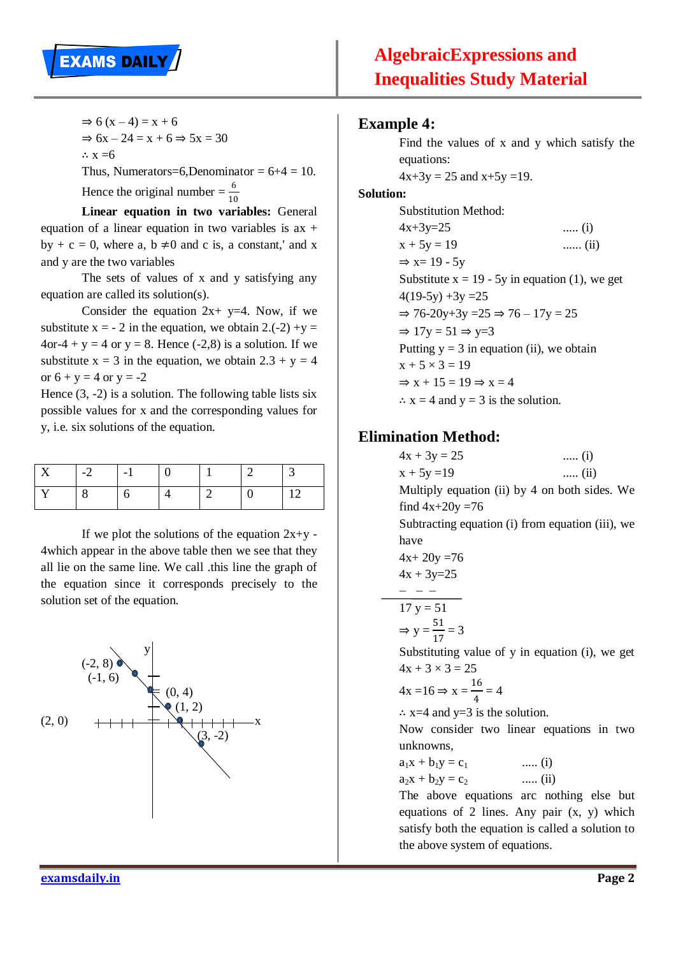

 $\Rightarrow 6(x-4) = x + 6$  $\Rightarrow$  6x – 24 = x + 6  $\Rightarrow$  5x = 30 ∴  $x = 6$ Thus, Numerators=6,Denominator =  $6+4 = 10$ .

Hence the original number =  $\frac{6}{10}$ 10

**Linear equation in two variables:** General equation of a linear equation in two variables is  $ax +$ by + c = 0, where a, b  $\neq$ 0 and c is, a constant,' and x and y are the two variables

The sets of values of x and y satisfying any equation are called its solution(s).

Consider the equation  $2x + y=4$ . Now, if we substitute  $x = -2$  in the equation, we obtain  $2 \cdot (-2) + y =$  $4$ or-4 + y = 4 or y = 8. Hence (-2.8) is a solution. If we substitute  $x = 3$  in the equation, we obtain  $2.3 + y = 4$ or  $6 + y = 4$  or  $y = -2$ 

Hence  $(3, -2)$  is a solution. The following table lists six possible values for x and the corresponding values for y, i.e. six solutions of the equation.

| $\overline{\phantom{0}}$ | $\overline{\phantom{0}}$ |  |  |
|--------------------------|--------------------------|--|--|
|                          |                          |  |  |

If we plot the solutions of the equation  $2x+y$  -4which appear in the above table then we see that they all lie on the same line. We call .this line the graph of the equation since it corresponds precisely to the solution set of the equation.



#### **Example 4:**

Find the values of x and y which satisfy the equations:

 $4x+3y = 25$  and  $x+5y = 19$ .

#### **Solution:**

Substitution Method:  $4x+3y=25$  ..... (i)  $x + 5y = 19$  ...... (ii)  $\Rightarrow$  x= 19 - 5y Substitute  $x = 19 - 5y$  in equation (1), we get  $4(19-5y) +3y = 25$  $\Rightarrow$  76-20y+3y = 25  $\Rightarrow$  76 - 17y = 25  $\Rightarrow$  17y = 51  $\Rightarrow$  y=3 Putting  $y = 3$  in equation (ii), we obtain  $x + 5 \times 3 = 19$  $\Rightarrow$  x + 15 = 19  $\Rightarrow$  x = 4  $\therefore$  x = 4 and y = 3 is the solution.

#### **Elimination Method:**

| $4x + 3y = 25$<br>$(i)$                          |  |  |  |  |  |  |  |
|--------------------------------------------------|--|--|--|--|--|--|--|
| $x + 5y = 19$<br>$(ii)$                          |  |  |  |  |  |  |  |
| Multiply equation (ii) by 4 on both sides. We    |  |  |  |  |  |  |  |
| find $4x+20y=76$                                 |  |  |  |  |  |  |  |
| Subtracting equation (i) from equation (iii), we |  |  |  |  |  |  |  |
| have                                             |  |  |  |  |  |  |  |
| $4x+20y=76$                                      |  |  |  |  |  |  |  |
| $4x + 3y=25$                                     |  |  |  |  |  |  |  |
|                                                  |  |  |  |  |  |  |  |
| $17 y = 51$                                      |  |  |  |  |  |  |  |
| $\Rightarrow$ y = $\frac{51}{17}$ = 3            |  |  |  |  |  |  |  |
| Substituting value of y in equation (i), we get  |  |  |  |  |  |  |  |
| $4x + 3 \times 3 = 25$                           |  |  |  |  |  |  |  |
| $4x = 16 \Rightarrow x = \frac{16}{4} = 4$       |  |  |  |  |  |  |  |
| $\therefore$ x=4 and y=3 is the solution.        |  |  |  |  |  |  |  |
| Now consider two linear equations in two         |  |  |  |  |  |  |  |
| unknowns,                                        |  |  |  |  |  |  |  |
| $(i)$<br>$a_1x + b_1y = c_1$                     |  |  |  |  |  |  |  |
| $(ii)$<br>$a_2x + b_2y = c_2$                    |  |  |  |  |  |  |  |

The above equations arc nothing else but equations of 2 lines. Any pair (x, y) which satisfy both the equation is called a solution to the above system of equations.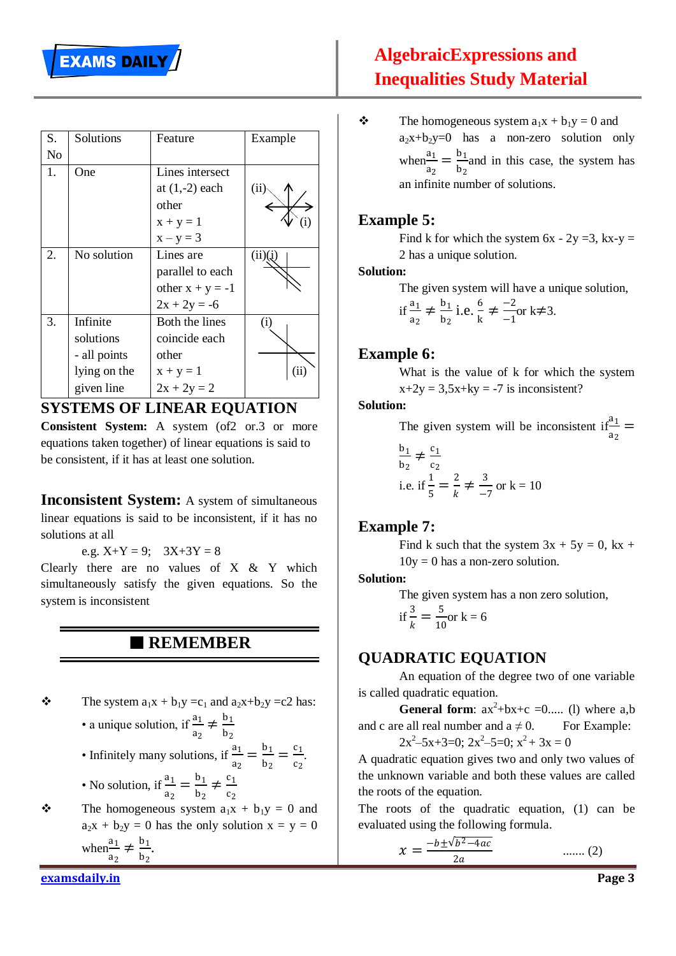| S. | Solutions    | Feature            | Example    |
|----|--------------|--------------------|------------|
| No |              |                    |            |
| 1. | One          | Lines intersect    |            |
|    |              | at $(1,-2)$ each   | (ii)       |
|    |              | other              |            |
|    |              | $x + y = 1$        |            |
|    |              | $x - y = 3$        |            |
| 2. | No solution  | Lines are          | (ii)(i)    |
|    |              | parallel to each   |            |
|    |              | other $x + y = -1$ |            |
|    |              | $2x + 2y = -6$     |            |
| 3. | Infinite     | Both the lines     | (i)        |
|    | solutions    | coincide each      |            |
|    | - all points | other              |            |
|    | lying on the | $x + y = 1$        | $\rm (ii)$ |
|    | given line   | $2x + 2y = 2$      |            |

## **SYSTEMS OF LINEAR EQUATION**

**Consistent System:** A system (of2 or.3 or more equations taken together) of linear equations is said to be consistent, if it has at least one solution.

**Inconsistent System:** A system of simultaneous linear equations is said to be inconsistent, if it has no solutions at all

e.g.  $X+Y = 9$ ;  $3X+3Y = 8$ 

Clearly there are no values of  $X \& Y$  which simultaneously satisfy the given equations. So the system is inconsistent

## **REMEMBER**

- $\mathbf{\hat{B}}$  The system  $a_1x + b_1y = c_1$  and  $a_2x + b_2y = c_2$  has: • a unique solution, if  $\frac{a_1}{a_1}$ 
	- $\frac{a_1}{a_2} \neq \frac{b_1}{b_2}$  $b<sub>2</sub>$
	- Infinitely many solutions, if  $\frac{a_1}{a_2}$  $\frac{a_1}{a_2} = \frac{b_1}{b_2}$  $\frac{b_1}{b_2} = \frac{c_1}{c_2}$  $c<sub>2</sub>$ .
	- No solution, if  $\frac{a_1}{a_2}$  $\frac{a_1}{a_2} = \frac{b_1}{b_2}$  $\frac{b_1}{b_2} \neq \frac{c_1}{c_2}$  $c<sub>2</sub>$
- $\mathbf{\hat{B}}$  The homogeneous system  $a_1x + b_1y = 0$  and  $a_2x + b_2y = 0$  has the only solution  $x = y = 0$ when $\frac{a_1}{a_2}$  $rac{a_1}{a_2} \neq \frac{b_1}{b_2}$  $\frac{b_1}{b_2}$ .

# **AlgebraicExpressions and Inequalities Study Material**

 $\mathbf{\hat{P}}$  The homogeneous system  $a_1x + b_1y = 0$  and  $a_2x+b_2y=0$  has a non-zero solution only  $when \frac{a_1}{a_2}$  $\frac{a_1}{a_2} = \frac{b_1}{b_2}$  $b<sub>2</sub>$ and in this case, the system has an infinite number of solutions.

## **Example 5:**

Find k for which the system  $6x - 2y = 3$ , kx-y = 2 has a unique solution.

#### **Solution:**

The given system will have a unique solution,

if 
$$
\frac{a_1}{a_2} \neq \frac{b_1}{b_2}
$$
 i.e.  $\frac{6}{k} \neq \frac{-2}{-1}$  or  $k \neq 3$ .

#### **Example 6:**

What is the value of k for which the system  $x+2y = 3.5x+ky = -7$  is inconsistent?

#### **Solution:**

The given system will be inconsistent if  $\frac{a_1}{a_2}$  $rac{a_1}{a_2}$  =

$$
\frac{b_1}{b_2} \neq \frac{c_1}{c_2}
$$
  
i.e. if  $\frac{1}{5} = \frac{2}{k} \neq \frac{3}{-7}$  or  $k = 10$ 

## **Example 7:**

Find k such that the system  $3x + 5y = 0$ ,  $kx +$  $10y = 0$  has a non-zero solution.

#### **Solution:**

The given system has a non zero solution,

$$
if \frac{3}{k} = \frac{5}{10} \text{or } k = 6
$$

## **QUADRATIC EQUATION**

An equation of the degree two of one variable is called quadratic equation.

**General form:**  $ax^2+bx+c =0$ ..... (1) where a,b and c are all real number and  $a \neq 0$ . For Example:  $2x^2-5x+3=0$ ;  $2x^2-5=0$ ;  $x^2+3x=0$ 

A quadratic equation gives two and only two values of the unknown variable and both these values are called the roots of the equation.

The roots of the quadratic equation, (1) can be evaluated using the following formula.

$$
x = \frac{-b \pm \sqrt{b^2 - 4ac}}{2a} \qquad \qquad \dots \dots (2)
$$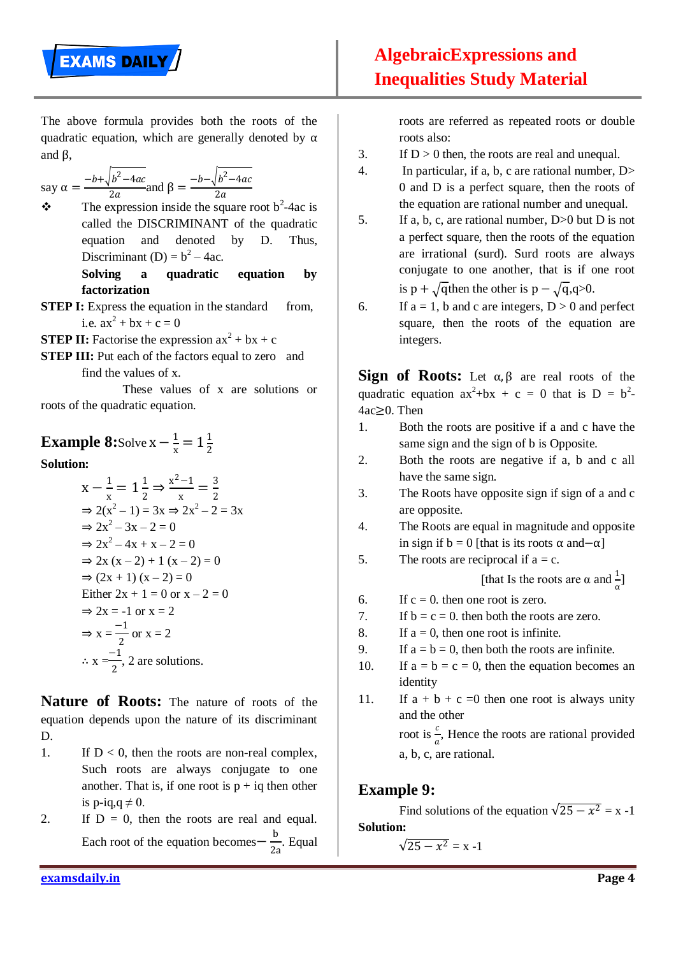

The above formula provides both the roots of the quadratic equation, which are generally denoted by  $\alpha$ and β,

say 
$$
\alpha = \frac{-b + \sqrt{b^2 - 4ac}}{2a}
$$
 and  $\beta = \frac{-b - \sqrt{b^2 - 4ac}}{2a}$ 

 $\div$  The expression inside the square root b<sup>2</sup>-4ac is called the DISCRIMINANT of the quadratic equation and denoted by D. Thus, Discriminant (D) =  $b^2 - 4ac$ .

> **Solving a quadratic equation by factorization**

- **STEP I:** Express the equation in the standard from, i.e.  $ax^2 + bx + c = 0$
- **STEP II:** Factorise the expression  $ax^2 + bx + c$
- **STEP III:** Put each of the factors equal to zero and find the values of x.

These values of x are solutions or roots of the quadratic equation.

#### **Example 8:**Solve  $x - \frac{1}{x}$  $\frac{1}{x} = 1\frac{1}{2}$ 2

**Solution:**

$$
x - \frac{1}{x} = 1\frac{1}{2} \Rightarrow \frac{x^2 - 1}{x} = \frac{3}{2}
$$
  
\n
$$
\Rightarrow 2(x^2 - 1) = 3x \Rightarrow 2x^2 - 2 = 3x
$$
  
\n
$$
\Rightarrow 2x^2 - 3x - 2 = 0
$$
  
\n
$$
\Rightarrow 2x^2 - 4x + x - 2 = 0
$$
  
\n
$$
\Rightarrow 2x(x - 2) + 1(x - 2) = 0
$$
  
\n
$$
\Rightarrow (2x + 1)(x - 2) = 0
$$
  
\nEither  $2x + 1 = 0$  or  $x - 2 = 0$   
\n
$$
\Rightarrow 2x = -1
$$
 or  $x = 2$   
\n
$$
\Rightarrow x = \frac{-1}{2}
$$
 or  $x = 2$   
\n
$$
\therefore x = \frac{-1}{2}
$$
, 2 are solutions.

**Nature of Roots:** The nature of roots of the equation depends upon the nature of its discriminant D.

- 1. If  $D < 0$ , then the roots are non-real complex, Such roots are always conjugate to one another. That is, if one root is  $p + iq$  then other is p-iq,q  $\neq$  0.
- 2. If  $D = 0$ , then the roots are real and equal. Each root of the equation becomes  $-\frac{b}{2}$  $\frac{2}{2a}$ . Equal

roots are referred as repeated roots or double roots also:

- 3. If  $D > 0$  then, the roots are real and unequal.
- 4. In particular, if a, b, c are rational number, D> 0 and D is a perfect square, then the roots of the equation are rational number and unequal.
- 5. If a, b, c, are rational number, D>0 but D is not a perfect square, then the roots of the equation are irrational (surd). Surd roots are always conjugate to one another, that is if one root is p +  $\sqrt{\text{q}}$ then the other is p –  $\sqrt{\text{q}}$ , $q > 0$ .
- 6. If  $a = 1$ , b and c are integers,  $D > 0$  and perfect square, then the roots of the equation are integers.

**Sign of Roots:** Let  $\alpha, \beta$  are real roots of the quadratic equation  $ax^2+bx + c = 0$  that is  $D = b^2$ . 4ac≥0. Then

- 1. Both the roots are positive if a and c have the same sign and the sign of b is Opposite.
- 2. Both the roots are negative if a, b and c all have the same sign.
- 3. The Roots have opposite sign if sign of a and c are opposite.
- 4. The Roots are equal in magnitude and opposite in sign if  $b = 0$  [that is its roots  $\alpha$  and– $\alpha$ ]
- 5. The roots are reciprocal if  $a = c$ .

[that Is the roots are  $\alpha$  and  $\frac{1}{\alpha}$ ]

6. If  $c = 0$ , then one root is zero.

7. If 
$$
b = c = 0
$$
, then both the roots are zero.

- 8. If  $a = 0$ , then one root is infinite.
- 9. If  $a = b = 0$ , then both the roots are infinite.
- 10. If  $a = b = c = 0$ , then the equation becomes an identity
- 11. If  $a + b + c = 0$  then one root is always unity and the other root is  $\frac{c}{2}$  $\frac{c}{a}$ , Hence the roots are rational provided a, b, c, are rational.

## **Example 9:**

Find solutions of the equation  $\sqrt{25 - x^2} = x - 1$ **Solution:**

$$
\sqrt{25-x^2} = x-1
$$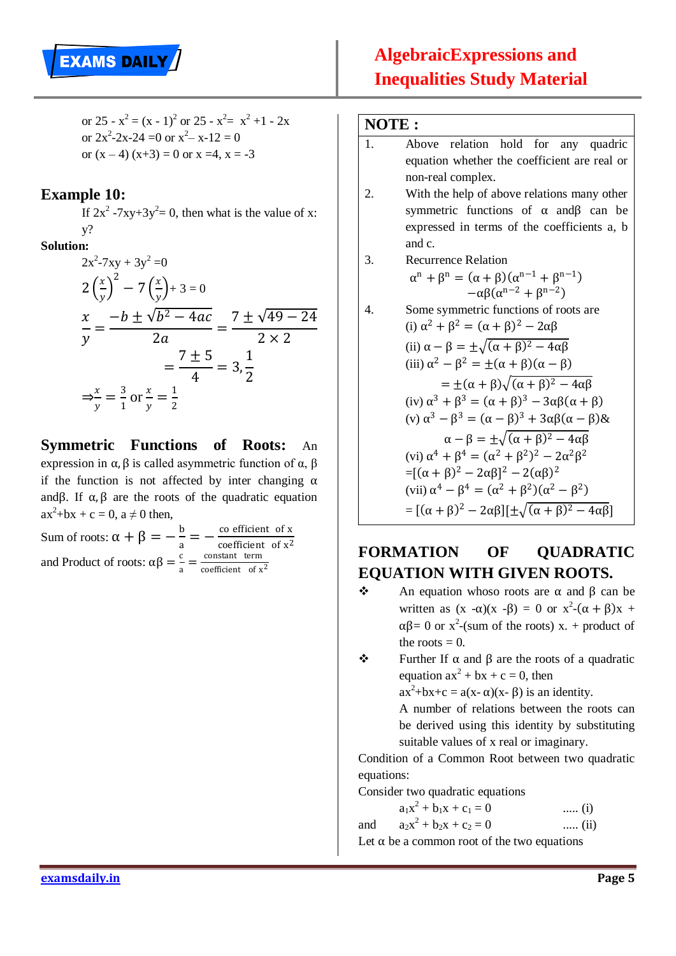

or 25 -  $x^2 = (x - 1)^2$  or 25 -  $x^2 = x^2 + 1$  - 2x or  $2x^2-2x-24=0$  or  $x^2-x-12=0$ or  $(x - 4) (x + 3) = 0$  or  $x = 4$ ,  $x = -3$ 

#### **Example 10:**

If  $2x^2 - 7xy + 3y^2 = 0$ , then what is the value of x: y?

#### **Solution:**

$$
2x^{2}-7xy + 3y^{2} = 0
$$
  
\n
$$
2\left(\frac{x}{y}\right)^{2} - 7\left(\frac{x}{y}\right) + 3 = 0
$$
  
\n
$$
\frac{x}{y} = \frac{-b \pm \sqrt{b^{2} - 4ac}}{2a} = \frac{7 \pm \sqrt{49 - 24}}{2 \times 2}
$$
  
\n
$$
= \frac{7 \pm 5}{4} = 3, \frac{1}{2}
$$
  
\n
$$
\Rightarrow \frac{x}{y} = \frac{3}{1} \text{ or } \frac{x}{y} = \frac{1}{2}
$$

**Symmetric Functions of Roots:** An expression in α, β is called asymmetric function of α, β if the function is not affected by inter changing  $\alpha$ andβ. If  $\alpha$ ,  $\beta$  are the roots of the quadratic equation  $ax^2+bx + c = 0$ ,  $a \neq 0$  then,

Sum of roots:  $\alpha + \beta = -\frac{b}{a}$  $\frac{b}{a} = -\frac{\text{co efficient of x}}{\text{coefficient of x}^2}$ coefficient of  $x^2$ and Product of roots:  $\alpha\beta = \frac{c}{c}$  $\frac{c}{a} = \frac{\text{constant term}}{\text{coefficient of x}}$ coefficient of  $x^2$ 

#### **NOTE :**

#### 1. Above relation hold for any quadric equation whether the coefficient are real or non-real complex.

- 2. With the help of above relations many other symmetric functions of  $\alpha$  and  $\beta$  can be expressed in terms of the coefficients a, b and c.
- 3. Recurrence Relation  $\alpha^{n} + \beta^{n} = (\alpha + \beta)(\alpha^{n-1} + \beta^{n-1})$  $-\alpha\beta(\alpha^{n-2}+\beta^{n-2})$

4. Some symmetric functions of roots are  
\n(i) 
$$
\alpha^2 + \beta^2 = (\alpha + \beta)^2 - 2\alpha\beta
$$
  
\n(ii)  $\alpha - \beta = \pm \sqrt{(\alpha + \beta)^2 - 4\alpha\beta}$   
\n(iii)  $\alpha^2 - \beta^2 = \pm(\alpha + \beta)(\alpha - \beta)$   
\n $= \pm(\alpha + \beta)\sqrt{(\alpha + \beta)^2 - 4\alpha\beta}$   
\n(iv)  $\alpha^3 + \beta^3 = (\alpha + \beta)^3 - 3\alpha\beta(\alpha + \beta)$   
\n(v)  $\alpha^3 - \beta^3 = (\alpha - \beta)^3 + 3\alpha\beta(\alpha - \beta) \&$   
\n $\alpha - \beta = \pm \sqrt{(\alpha + \beta)^2 - 4\alpha\beta}$   
\n(vi)  $\alpha^4 + \beta^4 = (\alpha^2 + \beta^2)^2 - 2\alpha^2\beta^2$   
\n $= [(\alpha + \beta)^2 - 2\alpha\beta]^2 - 2(\alpha\beta)^2$   
\n(vii)  $\alpha^4 - \beta^4 = (\alpha^2 + \beta^2)(\alpha^2 - \beta^2)$   
\n $= [(\alpha + \beta)^2 - 2\alpha\beta][\pm \sqrt{(\alpha + \beta)^2 - 4\alpha\beta}]$ 

## **FORMATION OF QUADRATIC EQUATION WITH GIVEN ROOTS.**

- $\div$  An equation whoso roots are α and β can be written as  $(x -\alpha)(x -\beta) = 0$  or  $x^2-(\alpha + \beta)x +$  $\alpha\beta = 0$  or  $x^2$ -(sum of the roots) x. + product of the roots  $= 0$ .
- $\div$  Further If α and β are the roots of a quadratic equation  $ax^2 + bx + c = 0$ , then  $ax^2+bx+c = a(x - \alpha)(x - \beta)$  is an identity. A number of relations between the roots can

be derived using this identity by substituting suitable values of x real or imaginary.

Condition of a Common Root between two quadratic equations:

Consider two quadratic equations

 $a_1x^2 + b_1x + c_1 = 0$  ..... (i) and  $2^2 + b_2x + c_2 = 0$  ..... (ii) Let  $\alpha$  be a common root of the two equations

**examsdaily.in Page 5**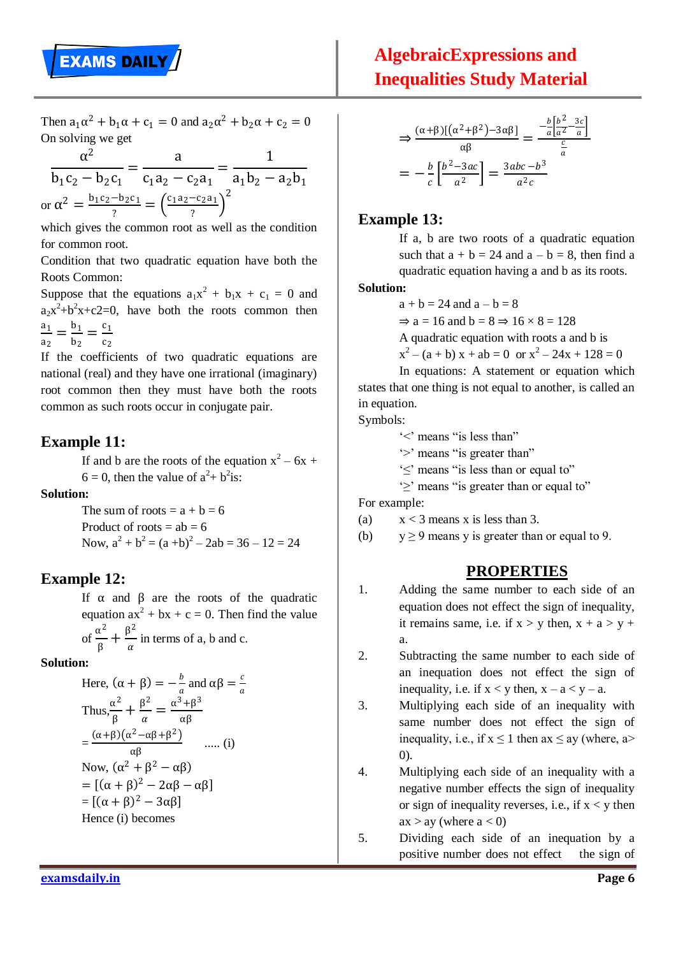Then  $a_1\alpha^2 + b_1\alpha + c_1 = 0$  and  $a_2\alpha^2 + b_2\alpha + c_2 = 0$ On solving we get

$$
\frac{\alpha^2}{b_1c_2 - b_2c_1} = \frac{a}{c_1a_2 - c_2a_1} = \frac{1}{a_1b_2 - a_2b_1}
$$
  
or  $\alpha^2 = \frac{b_1c_2 - b_2c_1}{?} = \left(\frac{c_1a_2 - c_2a_1}{?}\right)^2$ 

which gives the common root as well as the condition for common root.

Condition that two quadratic equation have both the Roots Common:

Suppose that the equations  $a_1x^2 + b_1x + c_1 = 0$  and  $a_2x^2+b^2x+c2=0$ , have both the roots common then  $a<sub>1</sub>$  $\frac{a_1}{a_2} = \frac{b_1}{b_2}$  $\frac{b_1}{b_2} = \frac{c_1}{c_2}$  $c<sub>2</sub>$ 

If the coefficients of two quadratic equations are national (real) and they have one irrational (imaginary) root common then they must have both the roots common as such roots occur in conjugate pair.

## **Example 11:**

If and b are the roots of the equation  $x^2 - 6x$  +  $6 = 0$ , then the value of  $a^2 + b^2$ is:

#### **Solution:**

The sum of roots  $= a + b = 6$ Product of roots  $=$  ab  $=$  6 Now,  $a^2 + b^2 = (a + b)^2 - 2ab = 36 - 12 = 24$ 

## **Example 12:**

If α and β are the roots of the quadratic equation  $ax^2 + bx + c = 0$ . Then find the value of  $\frac{\alpha^2}{2}$  $\frac{\alpha^2}{\beta} + \frac{\beta^2}{\alpha}$  $\frac{\partial}{\partial a}$  in terms of a, b and c.

**Solution:**

Here, 
$$
(\alpha + \beta) = -\frac{b}{a}
$$
 and  $\alpha\beta = \frac{c}{a}$   
\nThus,  $\frac{\alpha^2}{\beta} + \frac{\beta^2}{\alpha} = \frac{\alpha^3 + \beta^3}{\alpha\beta}$   
\n $= \frac{(\alpha + \beta)(\alpha^2 - \alpha\beta + \beta^2)}{\alpha\beta}$  ..... (i)  
\nNow,  $(\alpha^2 + \beta^2 - \alpha\beta)$   
\n $= [(\alpha + \beta)^2 - 2\alpha\beta - \alpha\beta]$   
\n $= [(\alpha + \beta)^2 - 3\alpha\beta]$   
\nHence (i) becomes

$$
\Rightarrow \frac{(\alpha+\beta)[(\alpha^2+\beta^2)-3\alpha\beta]}{\alpha\beta} = \frac{-\frac{b}{a} \left[\frac{b^2-3c}{a^2} \right]}{\frac{c}{a}}
$$

$$
= -\frac{b}{c} \left[\frac{b^2-3ac}{a^2}\right] = \frac{3abc - b^3}{a^2c}
$$

## **Example 13:**

If a, b are two roots of a quadratic equation such that  $a + b = 24$  and  $a - b = 8$ , then find a quadratic equation having a and b as its roots.

#### **Solution:**

 $a + b = 24$  and  $a - b = 8$ 

 $\Rightarrow$  a = 16 and b = 8  $\Rightarrow$  16  $\times$  8 = 128

A quadratic equation with roots a and b is

$$
x2 - (a + b) x + ab = 0 \text{ or } x2 - 24x + 128 = 0
$$

In equations: A statement or equation which states that one thing is not equal to another, is called an in equation.

Symbols:

- $\leq$  means "is less than"
- "> means "is greater than"
- "≤" means "is less than or equal to"

"≥" means "is greater than or equal to"

For example:

- (a)  $x < 3$  means x is less than 3.
- (b)  $y \ge 9$  means y is greater than or equal to 9.

## **PROPERTIES**

- 1. Adding the same number to each side of an equation does not effect the sign of inequality, it remains same, i.e. if  $x > y$  then,  $x + a > y +$ a.
- 2. Subtracting the same number to each side of an inequation does not effect the sign of inequality, i.e. if  $x < y$  then,  $x - a < y - a$ .
- 3. Multiplying each side of an inequality with same number does not effect the sign of inequality, i.e., if  $x \le 1$  then ax  $\le$  ay (where, a> 0).
- 4. Multiplying each side of an inequality with a negative number effects the sign of inequality or sign of inequality reverses, i.e., if  $x < y$  then  $ax > ay$  (where  $a < 0$ )
- 5. Dividing each side of an inequation by a positive number does not effect the sign of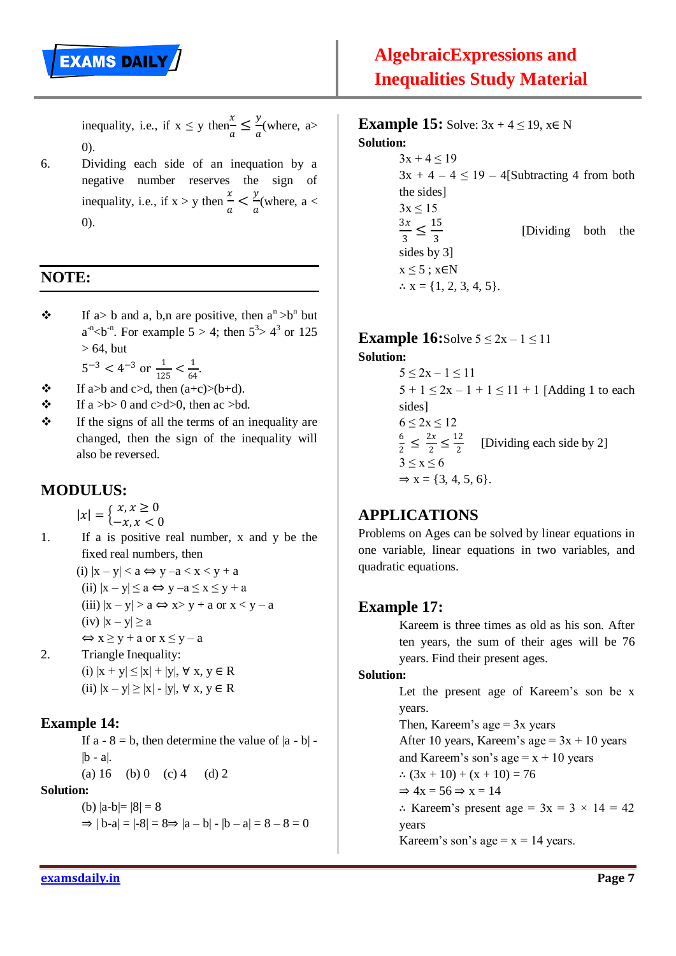

inequality, i.e., if  $x \leq y$  then $rac{x}{a} \leq \frac{y}{a}$  $\frac{d}{a}$ (where, a> 0).

6. Dividing each side of an inequation by a negative number reserves the sign of inequality, i.e., if  $x > y$  then  $\frac{x}{y}$  $\frac{x}{a} < \frac{y}{a}$  $\frac{y}{a}$ (where, a < 0).

## **NOTE:**

 $\mathbf{\hat{B}}$  If a> b and a, b,n are positive, then  $a^n > b^n$  but  $a^{-n}$  < b  $b^{-n}$ . For example 5 > 4; then  $5^3$  >  $4^3$  or 125  $> 64$ , but

 $5^{-3}$  <  $4^{-3}$  or  $\frac{1}{125}$  <  $\frac{1}{64}$  $\frac{1}{64}$ .

- $\div$  If a>b and c>d, then  $(a+c)>(b+d)$ .
- $\bullet$  If a >b> 0 and c>d>0, then ac >bd.
- $\mathbf{\hat{P}}$  If the signs of all the terms of an inequality are changed, then the sign of the inequality will also be reversed.

## **MODULUS:**

$$
|x| = \begin{cases} x, x \ge 0 \\ -x, x < 0 \end{cases}
$$

1. If a is positive real number, x and y be the fixed real numbers, then (i)  $|x - y| < a \Leftrightarrow y - a < x < y + a$ (ii)  $|x - y| \le a \Leftrightarrow y - a \le x \le y + a$ 

(iii)  $|x - y| > a \Leftrightarrow x > y + a$  or  $x < y - a$ 

- (iv)  $|x y| \ge a$
- $\Leftrightarrow$  x  $\ge$  y + a or x  $\le$  y a
- 2. Triangle Inequality: (i)  $|x + y| \le |x| + |y|$ ,  $\forall x, y \in R$ (ii)  $|x - y| \ge |x| - |y|$ ,  $\forall x, y \in R$

#### **Example 14:**

If  $a - 8 = b$ , then determine the value of  $|a - b|$  $|b - a|$ . (a)  $16$  (b)  $0$  (c)  $4$  (d)  $2$ 

#### **Solution:**

(b)  $|a-b|= |8| = 8$  $\Rightarrow |b-a| = |-8| = 8 \Rightarrow |a-b| - |b-a| = 8 - 8 = 0$  **Example 15:** Solve:  $3x + 4 \le 19$ ,  $x \in N$ **Solution:**

> $3x + 4 \le 19$  $3x + 4 - 4 \le 19 - 4$ [Subtracting 4 from both the sides]  $3x < 15$  $3x$  $\frac{3x}{3} \le \frac{15}{3}$ 3 [Dividing both the sides by 3]  $x \leq 5$ ;  $x \in N$  $\therefore$  x = {1, 2, 3, 4, 5}.

**Example 16:**Solve  $5 \le 2x - 1 \le 11$ 

**Solution:**

 $5 \leq 2x - 1 \leq 11$  $5 + 1 \leq 2x - 1 + 1 \leq 11 + 1$  [Adding 1 to each sides]  $6 < 2x < 12$ 6  $\frac{6}{2} \leq \frac{2x}{2}$  $\frac{2x}{2} \leq \frac{12}{2}$  $\frac{12}{2}$  [Dividing each side by 2]  $3 \leq x \leq 6$  $\Rightarrow$  x = {3, 4, 5, 6}.

## **APPLICATIONS**

Problems on Ages can be solved by linear equations in one variable, linear equations in two variables, and quadratic equations.

#### **Example 17:**

Kareem is three times as old as his son. After ten years, the sum of their ages will be 76 years. Find their present ages.

#### **Solution:**

Let the present age of Kareem's son be x years. Then, Kareem's age  $= 3x$  years After 10 years, Kareem's age =  $3x + 10$  years and Kareem's son's age  $= x + 10$  years ∴  $(3x + 10) + (x + 10) = 76$  $\Rightarrow$  4x = 56  $\Rightarrow$  x = 14 ∴ Kareem's present age =  $3x = 3 \times 14 = 42$ years Kareem's son's age  $x = 14$  years.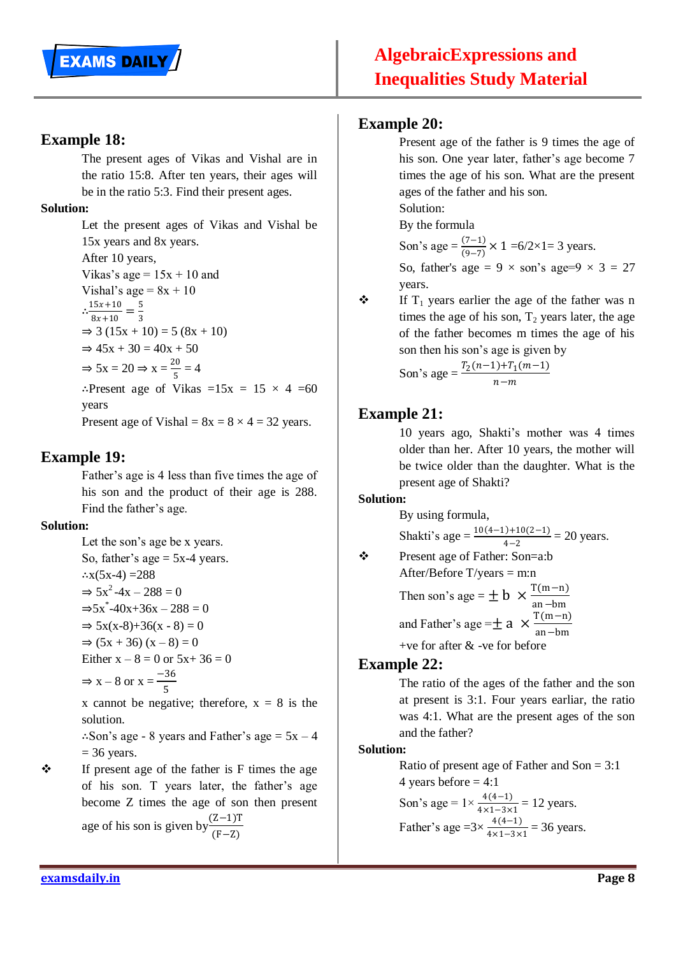## **Example 18:**

The present ages of Vikas and Vishal are in the ratio 15:8. After ten years, their ages will be in the ratio 5:3. Find their present ages.

#### **Solution:**

Let the present ages of Vikas and Vishal be 15x years and 8x years. After 10 years, Vikas's age  $= 15x + 10$  and Vishal's age =  $8x + 10$  $\therefore \frac{15x+10}{2x+10}$  $\frac{15x+10}{8x+10} = \frac{5}{3}$ 3  $\Rightarrow$  3 (15x + 10) = 5 (8x + 10)  $\Rightarrow$  45x + 30 = 40x + 50  $\Rightarrow$  5x = 20  $\Rightarrow$  x =  $\frac{20}{5}$  $\frac{50}{5} = 4$ ∴Present age of Vikas =15x = 15  $\times$  4 =60 years Present age of Vishal =  $8x = 8 \times 4 = 32$  years.

## **Example 19:**

Father's age is 4 less than five times the age of his son and the product of their age is 288. Find the father"s age.

## **Solution:**

Let the son's age be x years. So, father's age  $= 5x-4$  years. ∴ $x(5x-4) = 288$  $\Rightarrow$  5x<sup>2</sup>-4x - 288 = 0  $\Rightarrow$  5x<sup>\*</sup>-40x+36x - 288 = 0  $\Rightarrow$  5x(x-8)+36(x - 8) = 0  $\Rightarrow$  (5x + 36) (x – 8) = 0 Either  $x - 8 = 0$  or  $5x + 36 = 0$  $\Rightarrow$  x – 8 or x =  $\frac{-36}{5}$ 5

x cannot be negative; therefore,  $x = 8$  is the solution.

∴Son's age - 8 years and Father's age =  $5x - 4$  $= 36$  years.

 $\mathbf{\hat{P}}$  If present age of the father is F times the age of his son. T years later, the father"s age become Z times the age of son then present age of his son is given by  $\frac{(Z-1)T}{(Z-T)}$  $(F-Z)$ 

## **Example 20:**

Present age of the father is 9 times the age of his son. One year later, father's age become 7 times the age of his son. What are the present ages of the father and his son. Solution:

By the formula

Son's age =  $\frac{(7-1)}{(0-7)}$  $\frac{(7-1)}{(9-7)}$  × 1 =6/2×1= 3 years. So, father's age =  $9 \times$  son's age= $9 \times 3 = 27$ years.

 $\mathbf{\hat{P}}$  If T<sub>1</sub> years earlier the age of the father was n times the age of his son,  $T_2$  years later, the age of the father becomes m times the age of his son then his son"s age is given by

Son's age = 
$$
\frac{T_2(n-1) + T_1(m-1)}{n-m}
$$

## **Example 21:**

10 years ago, Shakti"s mother was 4 times older than her. After 10 years, the mother will be twice older than the daughter. What is the present age of Shakti?

#### **Solution:**

By using formula,

Shakti's age =  $\frac{10(4-1)+10(2-1)}{4-2}$  $\frac{4-2}{4-2}$  = 20 years.

 Present age of Father: Son=a:b After/Before  $T/years = m:n$ 

Then son's age = 
$$
\pm
$$
 b  $\times \frac{T(m-n)}{an - bm}$   
and Father's age =  $\pm$  a  $\times \frac{T(m-n)}{an - bm}$ 

+ve for after & -ve for before

## **Example 22:**

The ratio of the ages of the father and the son at present is 3:1. Four years earliar, the ratio was 4:1. What are the present ages of the son and the father?

#### **Solution:**

Ratio of present age of Father and Son = 3:1 4 years before  $= 4:1$ Son's age =  $1 \times \frac{4(4-1)}{4 \times 1 - 3 \times 1} = 12$  years. Father's age = $3 \times \frac{4(4-1)}{4 \times 1 - 3 \times 1} = 36$  years.